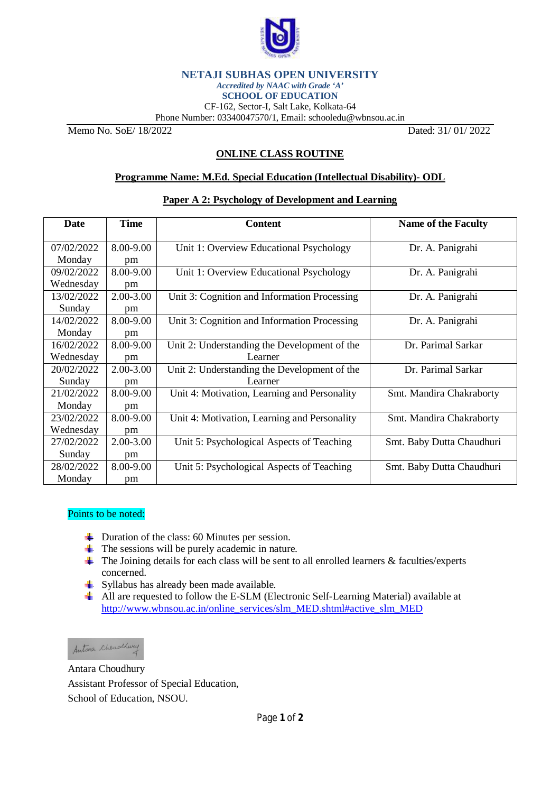

## **NETAJI SUBHAS OPEN UNIVERSITY**

*Accredited by NAAC with Grade 'A'* **SCHOOL OF EDUCATION**

CF-162, Sector-I, Salt Lake, Kolkata-64

Phone Number: 03340047570/1, Email: [schooledu@wbnsou.ac.in](mailto:schooledu@wbnsou.ac.in)

Memo No. SoE/ 18/2022 Dated: 31/ 01/ 2022

# **ONLINE CLASS ROUTINE**

## **Programme Name: M.Ed. Special Education (Intellectual Disability)- ODL**

#### **Paper A 2: Psychology of Development and Learning**

| Date       | <b>Time</b>   | <b>Content</b>                               | <b>Name of the Faculty</b> |
|------------|---------------|----------------------------------------------|----------------------------|
| 07/02/2022 | 8.00-9.00     | Unit 1: Overview Educational Psychology      | Dr. A. Panigrahi           |
| Monday     | pm            |                                              |                            |
| 09/02/2022 | 8.00-9.00     | Unit 1: Overview Educational Psychology      | Dr. A. Panigrahi           |
| Wednesday  | pm            |                                              |                            |
| 13/02/2022 | $2.00 - 3.00$ | Unit 3: Cognition and Information Processing | Dr. A. Panigrahi           |
| Sunday     | pm            |                                              |                            |
| 14/02/2022 | 8.00-9.00     | Unit 3: Cognition and Information Processing | Dr. A. Panigrahi           |
| Monday     | pm            |                                              |                            |
| 16/02/2022 | 8.00-9.00     | Unit 2: Understanding the Development of the | Dr. Parimal Sarkar         |
| Wednesday  | pm            | Learner                                      |                            |
| 20/02/2022 | $2.00 - 3.00$ | Unit 2: Understanding the Development of the | Dr. Parimal Sarkar         |
| Sunday     | pm            | Learner                                      |                            |
| 21/02/2022 | 8.00-9.00     | Unit 4: Motivation, Learning and Personality | Smt. Mandira Chakraborty   |
| Monday     | pm            |                                              |                            |
| 23/02/2022 | $8.00 - 9.00$ | Unit 4: Motivation, Learning and Personality | Smt. Mandira Chakraborty   |
| Wednesday  | pm            |                                              |                            |
| 27/02/2022 | 2.00-3.00     | Unit 5: Psychological Aspects of Teaching    | Smt. Baby Dutta Chaudhuri  |
| Sunday     | pm            |                                              |                            |
| 28/02/2022 | $8.00 - 9.00$ | Unit 5: Psychological Aspects of Teaching    | Smt. Baby Dutta Chaudhuri  |
| Monday     | pm            |                                              |                            |

#### Points to be noted:

- Duration of the class: 60 Minutes per session.
- $\overline{\phantom{a}}$  The sessions will be purely academic in nature.
- $\overline{\text{I}}$  The Joining details for each class will be sent to all enrolled learners & faculties/experts concerned.
- $\frac{1}{2}$  Syllabus has already been made available.
- All are requested to follow the E-SLM (Electronic Self-Learning Material) available at [http://www.wbnsou.ac.in/online\\_services/slm\\_MED.shtml#active\\_slm\\_MED](http://www.wbnsou.ac.in/online_services/slm_MED.shtml#active_slm_MED)

Antona Chouchway

Antara Choudhury Assistant Professor of Special Education, School of Education, NSOU.